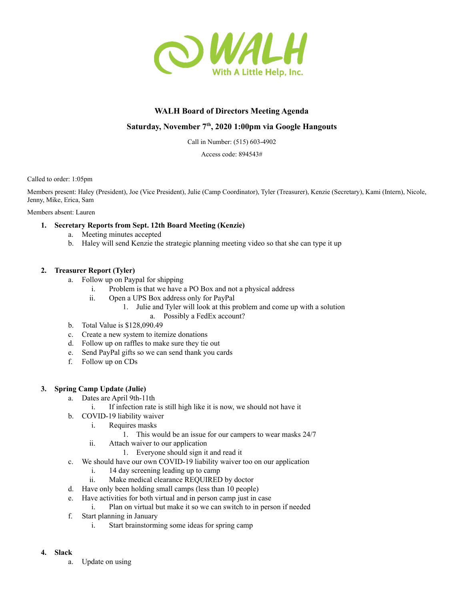

# **WALH Board of Directors Meeting Agenda**

# **Saturday, November 7 th , 2020 1:00pm via Google Hangouts**

Call in Number: (515) 603-4902

Access code: 894543#

Called to order: 1:05pm

Members present: Haley (President), Joe (Vice President), Julie (Camp Coordinator), Tyler (Treasurer), Kenzie (Secretary), Kami (Intern), Nicole, Jenny, Mike, Erica, Sam

Members absent: Lauren

## **1. Secretary Reports from Sept. 12th Board Meeting (Kenzie)**

- a. Meeting minutes accepted
- b. Haley will send Kenzie the strategic planning meeting video so that she can type it up

## **2. Treasurer Report (Tyler)**

- a. Follow up on Paypal for shipping
	- i. Problem is that we have a PO Box and not a physical address
	- ii. Open a UPS Box address only for PayPal
		- 1. Julie and Tyler will look at this problem and come up with a solution
			- a. Possibly a FedEx account?
- b. Total Value is \$128,090.49
- c. Create a new system to itemize donations
- d. Follow up on raffles to make sure they tie out
- e. Send PayPal gifts so we can send thank you cards
- f. Follow up on CDs

## **3. Spring Camp Update (Julie)**

- a. Dates are April 9th-11th
	- i. If infection rate is still high like it is now, we should not have it
- b. COVID-19 liability waiver
	- i. Requires masks
		- 1. This would be an issue for our campers to wear masks 24/7
	- ii. Attach waiver to our application
		- 1. Everyone should sign it and read it
- c. We should have our own COVID-19 liability waiver too on our application
	- i. 14 day screening leading up to camp
	- ii. Make medical clearance REQUIRED by doctor
- d. Have only been holding small camps (less than 10 people)
- e. Have activities for both virtual and in person camp just in case
	- i. Plan on virtual but make it so we can switch to in person if needed
- f. Start planning in January
	- i. Start brainstorming some ideas for spring camp

#### **4. Slack**

a. Update on using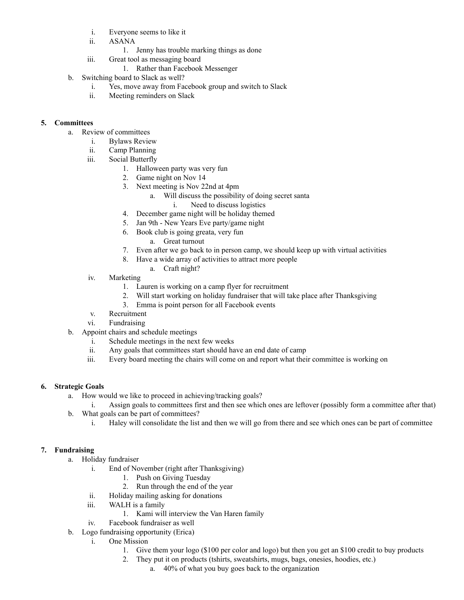- i. Everyone seems to like it
- ii. ASANA
	- 1. Jenny has trouble marking things as done
- iii. Great tool as messaging board
	- 1. Rather than Facebook Messenger
- b. Switching board to Slack as well?
	- i. Yes, move away from Facebook group and switch to Slack
	- ii. Meeting reminders on Slack

# **5. Committees**

- a. Review of committees
	- i. Bylaws Review
	- ii. Camp Planning
	- iii. Social Butterfly
		- 1. Halloween party was very fun
		- 2. Game night on Nov 14
		- 3. Next meeting is Nov 22nd at 4pm
			- a. Will discuss the possibility of doing secret santa
				- i. Need to discuss logistics
		- 4. December game night will be holiday themed
		- 5. Jan 9th New Years Eve party/game night
		- 6. Book club is going greata, very fun
			- a. Great turnout
		- 7. Even after we go back to in person camp, we should keep up with virtual activities
		- 8. Have a wide array of activities to attract more people
			- a. Craft night?
	- iv. Marketing
		- 1. Lauren is working on a camp flyer for recruitment
		- 2. Will start working on holiday fundraiser that will take place after Thanksgiving
		- 3. Emma is point person for all Facebook events
	- v. Recruitment
	- vi. Fundraising
- b. Appoint chairs and schedule meetings
	- i. Schedule meetings in the next few weeks
	- ii. Any goals that committees start should have an end date of camp
	- iii. Every board meeting the chairs will come on and report what their committee is working on

## **6. Strategic Goals**

- a. How would we like to proceed in achieving/tracking goals?
- i. Assign goals to committees first and then see which ones are leftover (possibly form a committee after that) b. What goals can be part of committees?
	- i. Haley will consolidate the list and then we will go from there and see which ones can be part of committee

## **7. Fundraising**

- a. Holiday fundraiser
	- i. End of November (right after Thanksgiving)
		- 1. Push on Giving Tuesday
		- 2. Run through the end of the year
	- ii. Holiday mailing asking for donations
	- iii. WALH is a family
		- 1. Kami will interview the Van Haren family
	- iv. Facebook fundraiser as well
- b. Logo fundraising opportunity (Erica)
	- i. One Mission
		- 1. Give them your logo (\$100 per color and logo) but then you get an \$100 credit to buy products
		- 2. They put it on products (tshirts, sweatshirts, mugs, bags, onesies, hoodies, etc.)
			- a. 40% of what you buy goes back to the organization